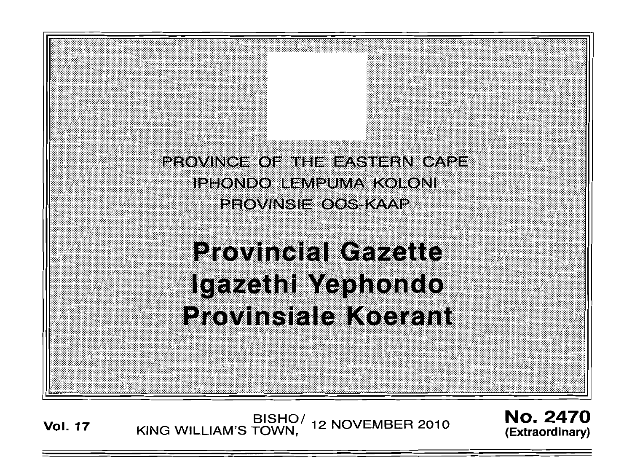PROVINCE OF THE EASTERN CAPE IPHONDO LEMPUMA KOLONI eegwinsiezgsskaap

# **Provincial Gazette** Igazeth Mephondo **Provinsiale Koerant**

BISHO/<br>KING WILLIAM'S TOWN, 12 NOVEMBER 2010 **Vol. 17** 

**No. 2470** (Extraordinary)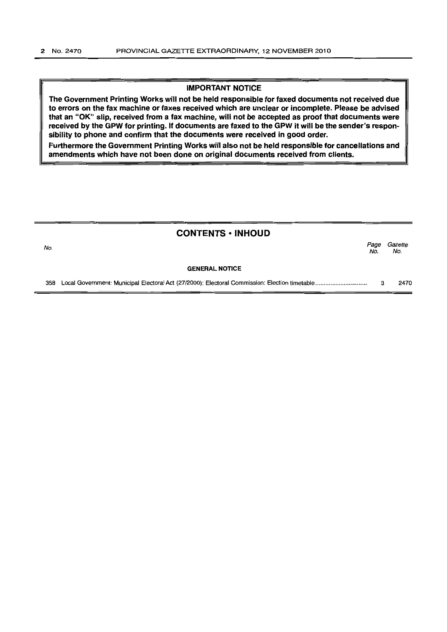#### IMPORTANT NOTICE

The Government Printing Works will not be held responsible for faxed documents not received due to errors on the fax machine or faxes received which are unclear or incomplete. Please be advised that an "OK" slip, received from a fax machine, will not be accepted as proof that documents were received by the GPW for printing. If documents are faxed to the GPW it will be the sender's responsibility to phone and confirm that the documents were received in good order.

Furthermore the Government Printing Works will also not be held responsible for cancellations and amendments which have not been done on original documents received from clients.

|     | <b>CONTENTS • INHOUD</b> |             |                |
|-----|--------------------------|-------------|----------------|
| No. |                          | Page<br>No. | Gazette<br>No. |
|     | <b>GENERAL NOTICE</b>    |             |                |
|     |                          | з           | 2470           |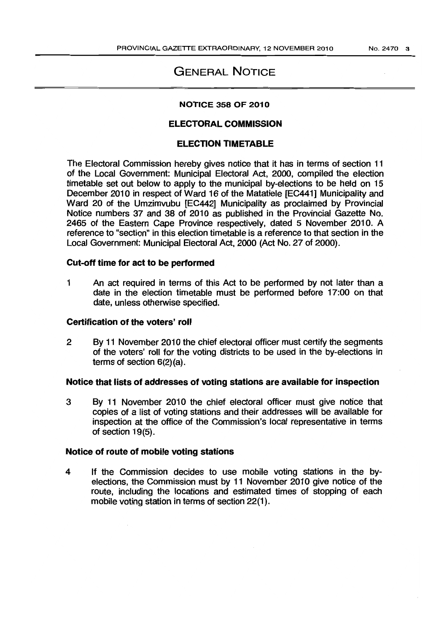# GENERAL NOTICE

#### NOTICE 358 OF 2010

# ELECTORAL COMMISSION

## **ELECTION TIMETABLE**

The Eledoral Commission hereby gives notice that it has in terms of section 11 of the Local Government: Municipal Electoral Act, 2000, compiled the election timetable set out below to apply to the municipal by-elections to be held on 15 December 2010 in respect of Ward 16 of the Matatiele [EC441] Municipality and Ward 20 of the Umzimvubu [EC442] Municipality as proclaimed by Provincial Notice numbers 37 and 38 of 2010 as published in the Provincial Gazette No. 2465 of the Eastern Cape Province respectively, dated 5 November 2010. A reference to "section" in this election timetable is a reference to that section in the Local Government: Municipal Electoral Act, 2000 (Act No. 27 of 2000).

# Cut-off time for act to be performed

1 An act required in terms of this Act to be performed by not later than a date in the election timetable must be performed before 17:00 on that date. unless otherwise specified.

#### Certification of the voters' roll

2 By 11 November 2010 the chief electoral officer must certify the segments of the voters' roll for the voting districts to be used in the by-elections in terms of section  $6(2)(a)$ .

#### Notice that lists of addresses of voting stations are available for inspection

3 By 11 November 2010 the chief electoral officer must give notice that copies of a list of voting stations and their addresses will be available for inspedion at the office of the Commission's local representative in terms of section 19(5).

#### Notice of route of mobile voting stations

4 If the Commission decides to use mobile voting stations in the byelections, the Comrnission must by 11 November 2010 give notice of the route. including the locations and estimated times of stopping of each mobile voting station in terms of section 22(1).